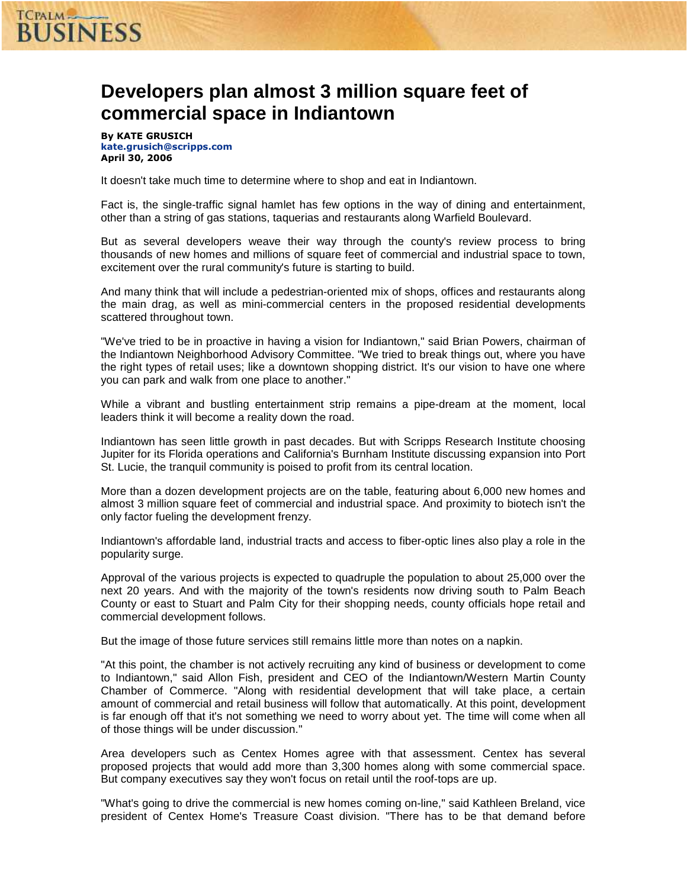# **TCPALM**<br>BUSINESS

## **Developers plan almost 3 million square feet of commercial space in Indiantown**

By KATE GRUSICH kate.grusich@scripps.com April 30, 2006

It doesn't take much time to determine where to shop and eat in Indiantown.

Fact is, the single-traffic signal hamlet has few options in the way of dining and entertainment, other than a string of gas stations, taquerias and restaurants along Warfield Boulevard.

But as several developers weave their way through the county's review process to bring thousands of new homes and millions of square feet of commercial and industrial space to town, excitement over the rural community's future is starting to build.

And many think that will include a pedestrian-oriented mix of shops, offices and restaurants along the main drag, as well as mini-commercial centers in the proposed residential developments scattered throughout town.

"We've tried to be in proactive in having a vision for Indiantown," said Brian Powers, chairman of the Indiantown Neighborhood Advisory Committee. "We tried to break things out, where you have the right types of retail uses; like a downtown shopping district. It's our vision to have one where you can park and walk from one place to another."

While a vibrant and bustling entertainment strip remains a pipe-dream at the moment, local leaders think it will become a reality down the road.

Indiantown has seen little growth in past decades. But with Scripps Research Institute choosing Jupiter for its Florida operations and California's Burnham Institute discussing expansion into Port St. Lucie, the tranquil community is poised to profit from its central location.

More than a dozen development projects are on the table, featuring about 6,000 new homes and almost 3 million square feet of commercial and industrial space. And proximity to biotech isn't the only factor fueling the development frenzy.

Indiantown's affordable land, industrial tracts and access to fiber-optic lines also play a role in the popularity surge.

Approval of the various projects is expected to quadruple the population to about 25,000 over the next 20 years. And with the majority of the town's residents now driving south to Palm Beach County or east to Stuart and Palm City for their shopping needs, county officials hope retail and commercial development follows.

But the image of those future services still remains little more than notes on a napkin.

"At this point, the chamber is not actively recruiting any kind of business or development to come to Indiantown," said Allon Fish, president and CEO of the Indiantown/Western Martin County Chamber of Commerce. "Along with residential development that will take place, a certain amount of commercial and retail business will follow that automatically. At this point, development is far enough off that it's not something we need to worry about yet. The time will come when all of those things will be under discussion."

Area developers such as Centex Homes agree with that assessment. Centex has several proposed projects that would add more than 3,300 homes along with some commercial space. But company executives say they won't focus on retail until the roof-tops are up.

"What's going to drive the commercial is new homes coming on-line," said Kathleen Breland, vice president of Centex Home's Treasure Coast division. "There has to be that demand before